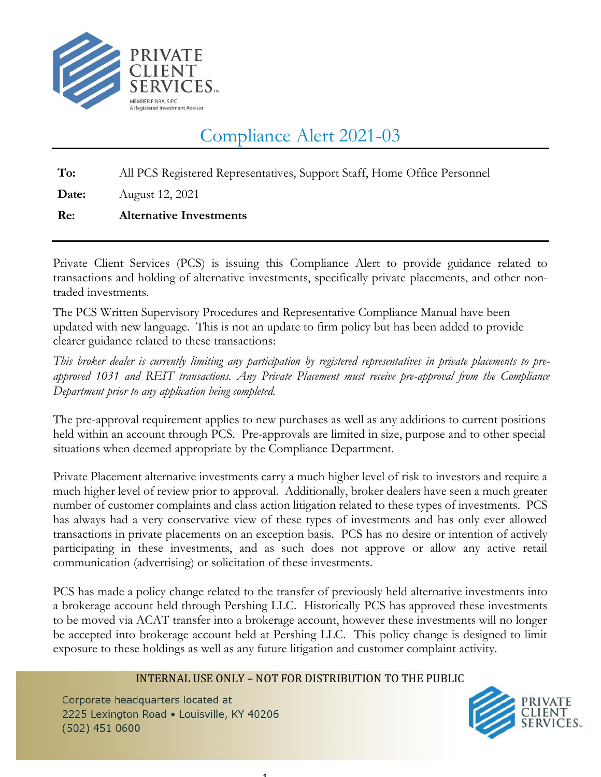

## Compliance Alert 2021-03

**To:** All PCS Registered Representatives, Support Staff, Home Office Personnel

**Date:** August 12, 2021

## **Re: Alternative Investments**

Private Client Services (PCS) is issuing this Compliance Alert to provide guidance related to transactions and holding of alternative investments, specifically private placements, and other nontraded investments.

The PCS Written Supervisory Procedures and Representative Compliance Manual have been updated with new language. This is not an update to firm policy but has been added to provide clearer guidance related to these transactions:

*This broker dealer is currently limiting any participation by registered representatives in private placements to preapproved 1031 and REIT transactions. Any Private Placement must receive pre-approval from the Compliance Department prior to any application being completed.*

The pre-approval requirement applies to new purchases as well as any additions to current positions held within an account through PCS. Pre-approvals are limited in size, purpose and to other special situations when deemed appropriate by the Compliance Department.

Private Placement alternative investments carry a much higher level of risk to investors and require a much higher level of review prior to approval. Additionally, broker dealers have seen a much greater number of customer complaints and class action litigation related to these types of investments. PCS has always had a very conservative view of these types of investments and has only ever allowed transactions in private placements on an exception basis. PCS has no desire or intention of actively participating in these investments, and as such does not approve or allow any active retail communication (advertising) or solicitation of these investments.

PCS has made a policy change related to the transfer of previously held alternative investments into a brokerage account held through Pershing LLC. Historically PCS has approved these investments to be moved via ACAT transfer into a brokerage account, however these investments will no longer be accepted into brokerage account held at Pershing LLC. This policy change is designed to limit exposure to these holdings as well as any future litigation and customer complaint activity.

## INTERNAL USE ONLY – NOT FOR DISTRIBUTION TO THE PUBLIC

1

Corporate headquarters located at 2225 Lexington Road . Louisville, KY 40206  $(502)$  451 0600